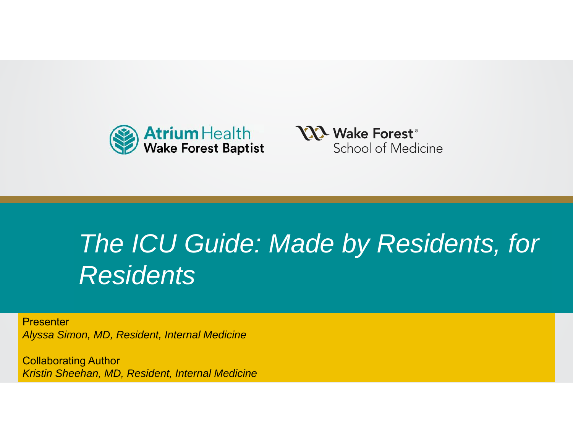



# **Presentation Title***The ICU Guide: Made by Residents, for*  Residents **Residents** Thought Inc.

**Presenter** *Alyssa Simon, MD, Resident, Internal Medicine* 

Polloborating Author Collaborating Author *Kristin Sheehan, MD, Resident, Internal Medicine*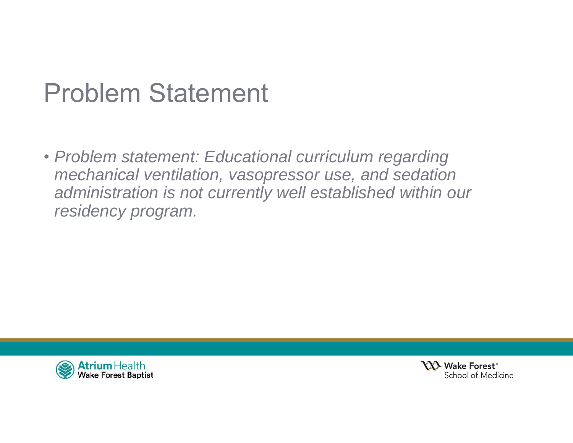# Problem Statement

• *Problem statement: Educational curriculum regarding mechanical ventilation, vasopressor use, and sedation administration is not currently well established within our residency program.*



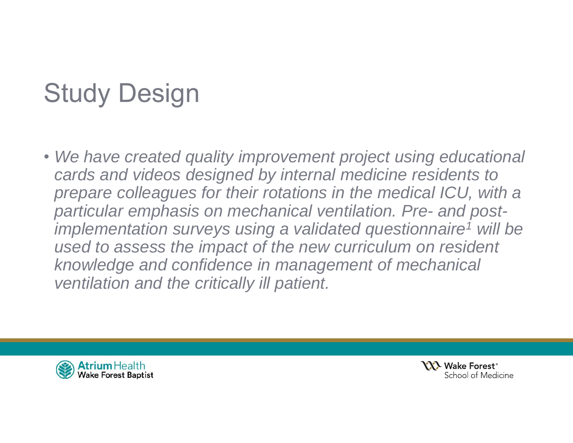# Study Design

• *We have created quality improvement project using educational cards and videos designed by internal medicine residents to*  prepare colleagues for their rotations in the medical ICU, with a *particular emphasis on mechanical ventilation. Pre- and postimplementation surveys using a validated questionnaire1 will be used to assess the impact of the new curriculum on resident knowledge and confidence in management of mechanical ventilation and the critically ill patient.* 



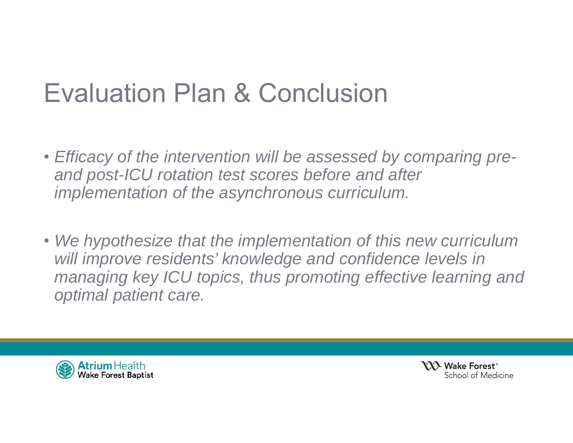## Evaluation Plan & Conclusion

- *Efficacy of the intervention will be assessed by comparing preand post-ICU rotation test scores before and after implementation of the asynchronous curriculum.*
- *We hypothesize that the implementation of this new curriculum will improve residents' knowledge and confidence levels in managing key ICU topics, thus promoting effective learning and optimal patient care.*



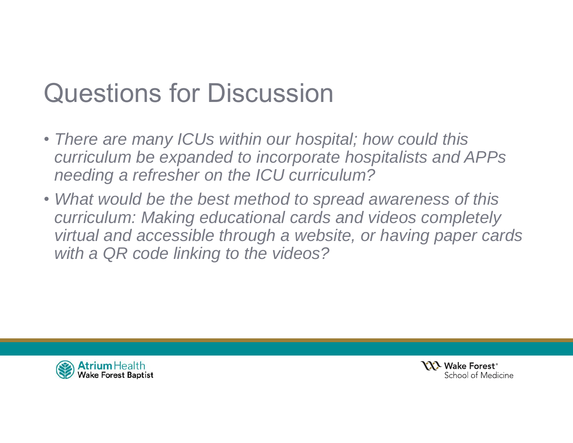# Questions for Discussion

- *There are many ICUs within our hospital; how could this curriculum be expanded to incorporate hospitalists and APPs needing a refresher on the ICU curriculum?*
- *What would be the best method to spread awareness of this curriculum: Making educational cards and videos completely virtual and accessible through a website, or having paper cards with a QR code linking to the videos?*